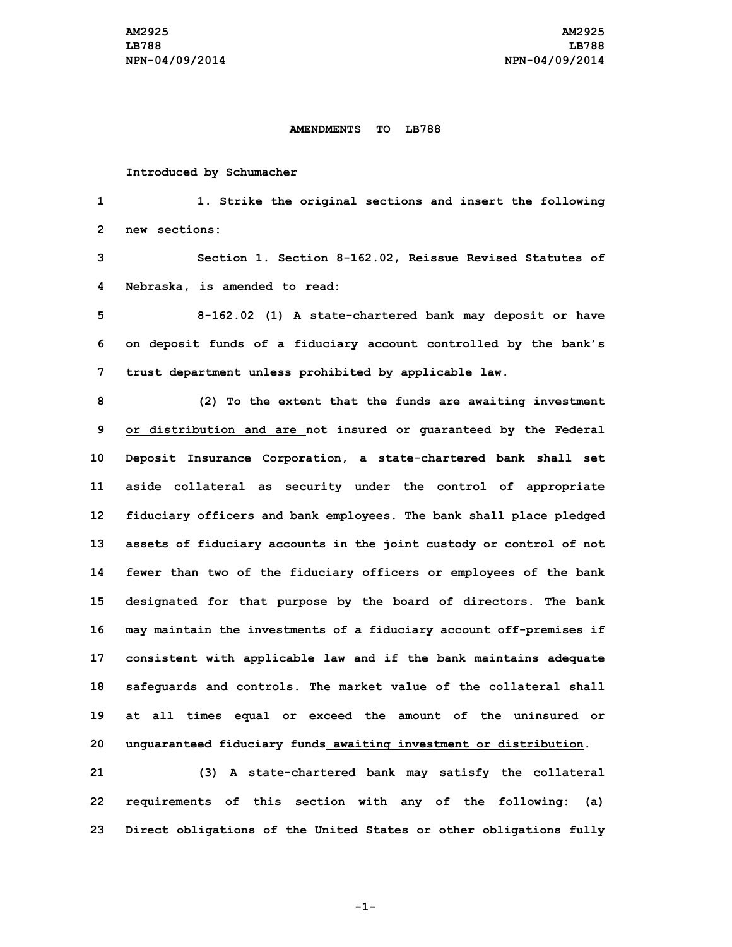## **AMENDMENTS TO LB788**

**Introduced by Schumacher**

**1 1. Strike the original sections and insert the following 2 new sections:**

**3 Section 1. Section 8-162.02, Reissue Revised Statutes of 4 Nebraska, is amended to read:**

**5 8-162.02 (1) <sup>A</sup> state-chartered bank may deposit or have 6 on deposit funds of <sup>a</sup> fiduciary account controlled by the bank's 7 trust department unless prohibited by applicable law.**

 **(2) To the extent that the funds are awaiting investment or distribution and are not insured or guaranteed by the Federal Deposit Insurance Corporation, <sup>a</sup> state-chartered bank shall set aside collateral as security under the control of appropriate fiduciary officers and bank employees. The bank shall place pledged assets of fiduciary accounts in the joint custody or control of not fewer than two of the fiduciary officers or employees of the bank designated for that purpose by the board of directors. The bank may maintain the investments of <sup>a</sup> fiduciary account off-premises if consistent with applicable law and if the bank maintains adequate safeguards and controls. The market value of the collateral shall at all times equal or exceed the amount of the uninsured or unguaranteed fiduciary funds awaiting investment or distribution.**

**21 (3) <sup>A</sup> state-chartered bank may satisfy the collateral 22 requirements of this section with any of the following: (a) 23 Direct obligations of the United States or other obligations fully**

**-1-**